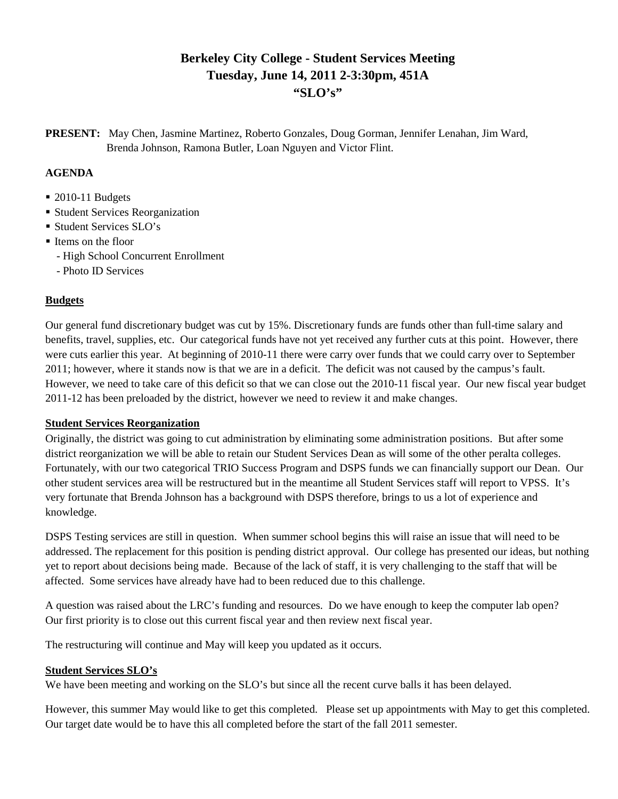# **Berkeley City College - Student Services Meeting Tuesday, June 14, 2011 2-3:30pm, 451A "SLO's"**

**PRESENT:** May Chen, Jasmine Martinez, Roberto Gonzales, Doug Gorman, Jennifer Lenahan, Jim Ward, Brenda Johnson, Ramona Butler, Loan Nguyen and Victor Flint.

## **AGENDA**

- 2010-11 Budgets
- Student Services Reorganization
- **Student Services SLO's**
- Items on the floor
	- High School Concurrent Enrollment
	- Photo ID Services

### **Budgets**

Our general fund discretionary budget was cut by 15%. Discretionary funds are funds other than full-time salary and benefits, travel, supplies, etc. Our categorical funds have not yet received any further cuts at this point. However, there were cuts earlier this year. At beginning of 2010-11 there were carry over funds that we could carry over to September 2011; however, where it stands now is that we are in a deficit. The deficit was not caused by the campus's fault. However, we need to take care of this deficit so that we can close out the 2010-11 fiscal year. Our new fiscal year budget 2011-12 has been preloaded by the district, however we need to review it and make changes.

#### **Student Services Reorganization**

Originally, the district was going to cut administration by eliminating some administration positions. But after some district reorganization we will be able to retain our Student Services Dean as will some of the other peralta colleges. Fortunately, with our two categorical TRIO Success Program and DSPS funds we can financially support our Dean. Our other student services area will be restructured but in the meantime all Student Services staff will report to VPSS. It's very fortunate that Brenda Johnson has a background with DSPS therefore, brings to us a lot of experience and knowledge.

DSPS Testing services are still in question. When summer school begins this will raise an issue that will need to be addressed. The replacement for this position is pending district approval. Our college has presented our ideas, but nothing yet to report about decisions being made. Because of the lack of staff, it is very challenging to the staff that will be affected. Some services have already have had to been reduced due to this challenge.

A question was raised about the LRC's funding and resources. Do we have enough to keep the computer lab open? Our first priority is to close out this current fiscal year and then review next fiscal year.

The restructuring will continue and May will keep you updated as it occurs.

#### **Student Services SLO's**

We have been meeting and working on the SLO's but since all the recent curve balls it has been delayed.

However, this summer May would like to get this completed. Please set up appointments with May to get this completed. Our target date would be to have this all completed before the start of the fall 2011 semester.